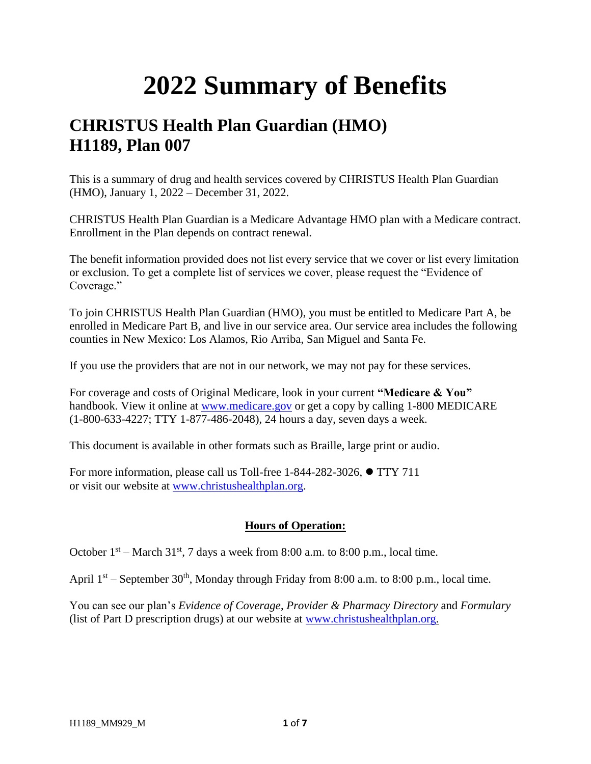## **2022 Summary of Benefits**

## **CHRISTUS Health Plan Guardian (HMO) H1189, Plan 007**

This is a summary of drug and health services covered by CHRISTUS Health Plan Guardian (HMO), January 1, 2022 – December 31, 2022.

CHRISTUS Health Plan Guardian is a Medicare Advantage HMO plan with a Medicare contract. Enrollment in the Plan depends on contract renewal.

The benefit information provided does not list every service that we cover or list every limitation or exclusion. To get a complete list of services we cover, please request the "Evidence of Coverage."

To join CHRISTUS Health Plan Guardian (HMO), you must be entitled to Medicare Part A, be enrolled in Medicare Part B, and live in our service area. Our service area includes the following counties in New Mexico: Los Alamos, Rio Arriba, San Miguel and Santa Fe.

If you use the providers that are not in our network, we may not pay for these services.

For coverage and costs of Original Medicare, look in your current **"Medicare & You"**  handbook. View it online at [www.medicare.gov](http://www.medicare.gov/) or get a copy by calling 1-800 MEDICARE (1-800-633-4227; TTY 1-877-486-2048), 24 hours a day, seven days a week.

This document is available in other formats such as Braille, large print or audio.

For more information, please call us Toll-free 1-844-282-3026, ⚫ TTY 711 or visit our website at [www.christushealthplan.org.](http://www.christushealthplan.org/)

## **Hours of Operation:**

October  $1<sup>st</sup>$  – March 31<sup>st</sup>, 7 days a week from 8:00 a.m. to 8:00 p.m., local time.

April  $1<sup>st</sup>$  – September 30<sup>th</sup>, Monday through Friday from 8:00 a.m. to 8:00 p.m., local time.

You can see our plan's *Evidence of Coverage*, *Provider & Pharmacy Directory* and *Formulary* (list of Part D prescription drugs) at our website at [www.christushealthplan.org.](http://www.christushealthplan.org/)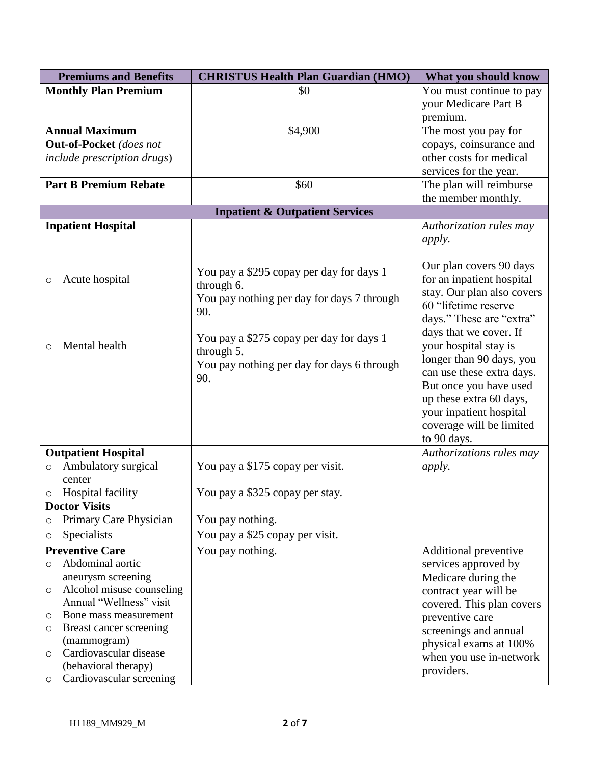|         | <b>Premiums and Benefits</b>        | <b>CHRISTUS Health Plan Guardian (HMO)</b>             | What you should know       |
|---------|-------------------------------------|--------------------------------------------------------|----------------------------|
|         | <b>Monthly Plan Premium</b>         | \$0                                                    | You must continue to pay   |
|         |                                     |                                                        | your Medicare Part B       |
|         |                                     |                                                        | premium.                   |
|         | <b>Annual Maximum</b>               | \$4,900                                                | The most you pay for       |
|         | <b>Out-of-Pocket</b> (does not      |                                                        | copays, coinsurance and    |
|         | <i>include prescription drugs</i> ) |                                                        | other costs for medical    |
|         |                                     |                                                        | services for the year.     |
|         | <b>Part B Premium Rebate</b>        | \$60                                                   | The plan will reimburse    |
|         |                                     |                                                        | the member monthly.        |
|         |                                     | <b>Inpatient &amp; Outpatient Services</b>             |                            |
|         | <b>Inpatient Hospital</b>           |                                                        | Authorization rules may    |
|         |                                     |                                                        | <i>apply.</i>              |
|         |                                     |                                                        |                            |
|         |                                     |                                                        | Our plan covers 90 days    |
| $\circ$ | Acute hospital                      | You pay a \$295 copay per day for days 1<br>through 6. | for an inpatient hospital  |
|         |                                     | You pay nothing per day for days 7 through             | stay. Our plan also covers |
|         |                                     | 90.                                                    | 60 "lifetime reserve       |
|         |                                     |                                                        | days." These are "extra"   |
|         |                                     | You pay a \$275 copay per day for days 1               | days that we cover. If     |
| O       | Mental health                       | through 5.                                             | your hospital stay is      |
|         |                                     |                                                        | longer than 90 days, you   |
|         |                                     | You pay nothing per day for days 6 through             | can use these extra days.  |
|         |                                     | 90.                                                    | But once you have used     |
|         |                                     |                                                        | up these extra 60 days,    |
|         |                                     |                                                        | your inpatient hospital    |
|         |                                     |                                                        | coverage will be limited   |
|         |                                     |                                                        | to 90 days.                |
|         | <b>Outpatient Hospital</b>          |                                                        | Authorizations rules may   |
| O       | Ambulatory surgical                 | You pay a \$175 copay per visit.                       | <i>apply.</i>              |
|         | center                              |                                                        |                            |
| O       | <b>Hospital facility</b>            | You pay a \$325 copay per stay.                        |                            |
|         | <b>Doctor Visits</b>                |                                                        |                            |
| O       | Primary Care Physician              | You pay nothing.                                       |                            |
| O       | Specialists                         | You pay a \$25 copay per visit.                        |                            |
|         | <b>Preventive Care</b>              | You pay nothing.                                       | Additional preventive      |
| O       | Abdominal aortic                    |                                                        | services approved by       |
|         | aneurysm screening                  |                                                        | Medicare during the        |
| O       | Alcohol misuse counseling           |                                                        | contract year will be      |
|         | Annual "Wellness" visit             |                                                        | covered. This plan covers  |
| O       | Bone mass measurement               |                                                        | preventive care            |
| O       | Breast cancer screening             |                                                        | screenings and annual      |
|         | (mammogram)                         |                                                        | physical exams at 100%     |
| O       | Cardiovascular disease              |                                                        | when you use in-network    |
|         | (behavioral therapy)                |                                                        | providers.                 |
| $\circ$ | Cardiovascular screening            |                                                        |                            |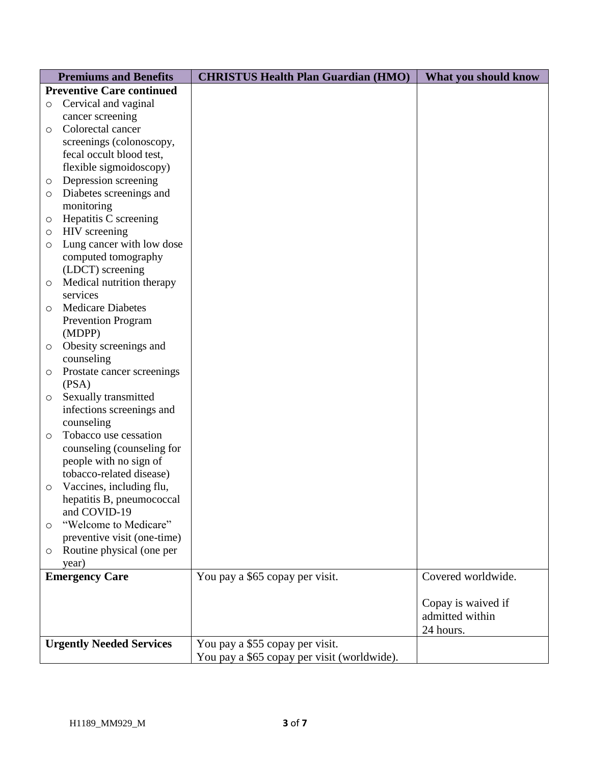|         | <b>Premiums and Benefits</b>     | <b>CHRISTUS Health Plan Guardian (HMO)</b>  | What you should know |
|---------|----------------------------------|---------------------------------------------|----------------------|
|         | <b>Preventive Care continued</b> |                                             |                      |
| $\circ$ | Cervical and vaginal             |                                             |                      |
|         | cancer screening                 |                                             |                      |
| $\circ$ | Colorectal cancer                |                                             |                      |
|         | screenings (colonoscopy,         |                                             |                      |
|         | fecal occult blood test,         |                                             |                      |
|         | flexible sigmoidoscopy)          |                                             |                      |
| O       | Depression screening             |                                             |                      |
| $\circ$ | Diabetes screenings and          |                                             |                      |
|         | monitoring                       |                                             |                      |
| O       | Hepatitis C screening            |                                             |                      |
| $\circ$ | HIV screening                    |                                             |                      |
| $\circ$ | Lung cancer with low dose        |                                             |                      |
|         | computed tomography              |                                             |                      |
|         | (LDCT) screening                 |                                             |                      |
| O       | Medical nutrition therapy        |                                             |                      |
|         | services                         |                                             |                      |
| $\circ$ | <b>Medicare Diabetes</b>         |                                             |                      |
|         | <b>Prevention Program</b>        |                                             |                      |
|         | (MDPP)                           |                                             |                      |
| $\circ$ | Obesity screenings and           |                                             |                      |
|         | counseling                       |                                             |                      |
| O       | Prostate cancer screenings       |                                             |                      |
|         | (PSA)                            |                                             |                      |
| $\circ$ | Sexually transmitted             |                                             |                      |
|         | infections screenings and        |                                             |                      |
|         | counseling                       |                                             |                      |
| $\circ$ | Tobacco use cessation            |                                             |                      |
|         | counseling (counseling for       |                                             |                      |
|         | people with no sign of           |                                             |                      |
|         | tobacco-related disease)         |                                             |                      |
| $\circ$ | Vaccines, including flu,         |                                             |                      |
|         | hepatitis B, pneumococcal        |                                             |                      |
|         | and COVID-19                     |                                             |                      |
| $\circ$ | "Welcome to Medicare"            |                                             |                      |
|         | preventive visit (one-time)      |                                             |                      |
| $\circ$ | Routine physical (one per        |                                             |                      |
|         | year)                            |                                             | Covered worldwide.   |
|         | <b>Emergency Care</b>            | You pay a \$65 copay per visit.             |                      |
|         |                                  |                                             |                      |
|         |                                  |                                             | Copay is waived if   |
|         |                                  |                                             | admitted within      |
|         |                                  |                                             | 24 hours.            |
|         | <b>Urgently Needed Services</b>  | You pay a \$55 copay per visit.             |                      |
|         |                                  | You pay a \$65 copay per visit (worldwide). |                      |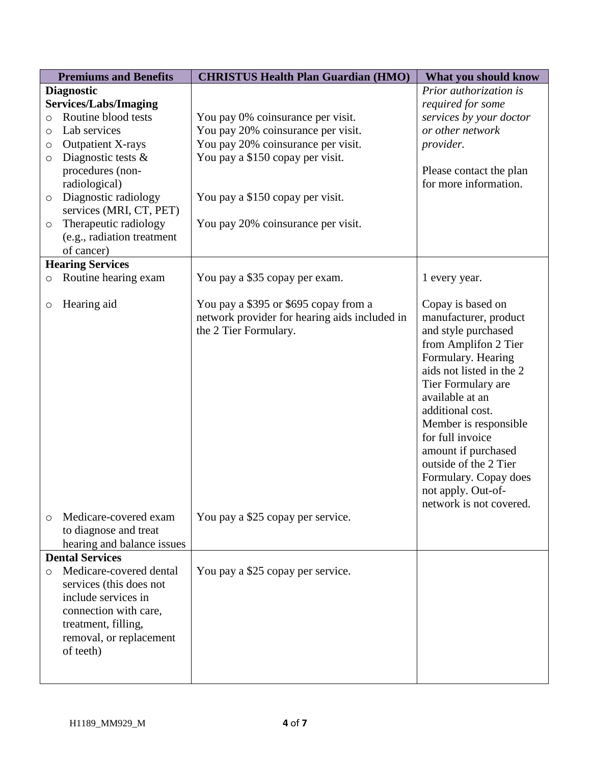|         | <b>Premiums and Benefits</b> | <b>CHRISTUS Health Plan Guardian (HMO)</b>    | What you should know     |
|---------|------------------------------|-----------------------------------------------|--------------------------|
|         | <b>Diagnostic</b>            |                                               | Prior authorization is   |
|         | <b>Services/Labs/Imaging</b> |                                               | required for some        |
| $\circ$ | Routine blood tests          | You pay 0% coinsurance per visit.             | services by your doctor  |
| $\circ$ | Lab services                 | You pay 20% coinsurance per visit.            | or other network         |
| O       | <b>Outpatient X-rays</b>     | You pay 20% coinsurance per visit.            | provider.                |
| $\circ$ | Diagnostic tests $\&$        | You pay a \$150 copay per visit.              |                          |
|         | procedures (non-             |                                               | Please contact the plan  |
|         | radiological)                |                                               | for more information.    |
| $\circ$ | Diagnostic radiology         | You pay a \$150 copay per visit.              |                          |
|         | services (MRI, CT, PET)      |                                               |                          |
| $\circ$ | Therapeutic radiology        | You pay 20% coinsurance per visit.            |                          |
|         | (e.g., radiation treatment   |                                               |                          |
|         | of cancer)                   |                                               |                          |
|         | <b>Hearing Services</b>      |                                               |                          |
| $\circ$ | Routine hearing exam         | You pay a \$35 copay per exam.                | 1 every year.            |
| O       | Hearing aid                  | You pay a \$395 or \$695 copay from a         | Copay is based on        |
|         |                              | network provider for hearing aids included in | manufacturer, product    |
|         |                              | the 2 Tier Formulary.                         | and style purchased      |
|         |                              |                                               | from Amplifon 2 Tier     |
|         |                              |                                               | Formulary. Hearing       |
|         |                              |                                               | aids not listed in the 2 |
|         |                              |                                               | Tier Formulary are       |
|         |                              |                                               | available at an          |
|         |                              |                                               | additional cost.         |
|         |                              |                                               | Member is responsible    |
|         |                              |                                               | for full invoice         |
|         |                              |                                               | amount if purchased      |
|         |                              |                                               | outside of the 2 Tier    |
|         |                              |                                               | Formulary. Copay does    |
|         |                              |                                               | not apply. Out-of-       |
|         |                              |                                               | network is not covered.  |
| $\circ$ | Medicare-covered exam        | You pay a \$25 copay per service.             |                          |
|         | to diagnose and treat        |                                               |                          |
|         | hearing and balance issues   |                                               |                          |
|         | <b>Dental Services</b>       |                                               |                          |
| $\circ$ | Medicare-covered dental      | You pay a \$25 copay per service.             |                          |
|         | services (this does not      |                                               |                          |
|         | include services in          |                                               |                          |
|         | connection with care,        |                                               |                          |
|         | treatment, filling,          |                                               |                          |
|         | removal, or replacement      |                                               |                          |
|         | of teeth)                    |                                               |                          |
|         |                              |                                               |                          |
|         |                              |                                               |                          |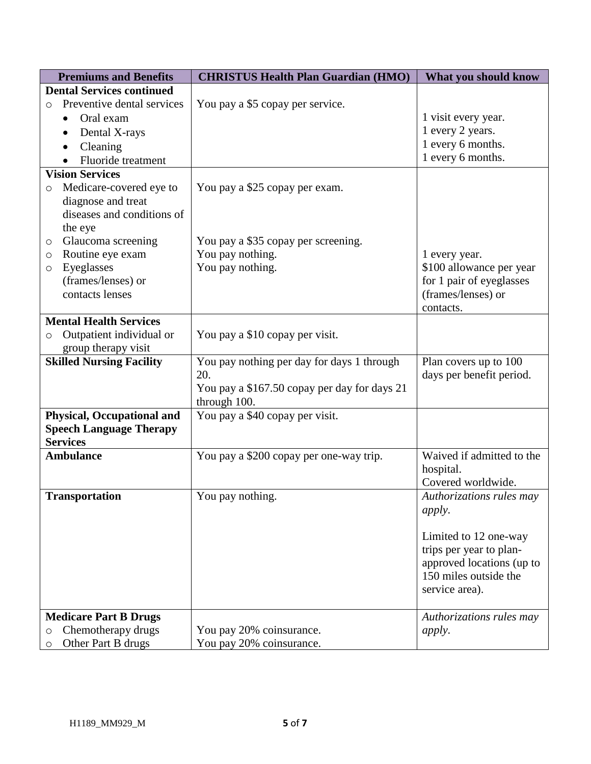| <b>Premiums and Benefits</b>          | <b>CHRISTUS Health Plan Guardian (HMO)</b>   | What you should know            |
|---------------------------------------|----------------------------------------------|---------------------------------|
| <b>Dental Services continued</b>      |                                              |                                 |
| Preventive dental services<br>$\circ$ | You pay a \$5 copay per service.             |                                 |
| Oral exam                             |                                              | 1 visit every year.             |
| Dental X-rays                         |                                              | 1 every 2 years.                |
| Cleaning                              |                                              | 1 every 6 months.               |
| Fluoride treatment                    |                                              | 1 every 6 months.               |
| <b>Vision Services</b>                |                                              |                                 |
| Medicare-covered eye to<br>$\circ$    | You pay a \$25 copay per exam.               |                                 |
| diagnose and treat                    |                                              |                                 |
| diseases and conditions of            |                                              |                                 |
| the eye                               |                                              |                                 |
| Glaucoma screening<br>O               | You pay a \$35 copay per screening.          |                                 |
| Routine eye exam<br>O                 | You pay nothing.                             | 1 every year.                   |
| Eyeglasses<br>O                       | You pay nothing.                             | \$100 allowance per year        |
| (frames/lenses) or                    |                                              | for 1 pair of eyeglasses        |
| contacts lenses                       |                                              | (frames/lenses) or              |
|                                       |                                              | contacts.                       |
| <b>Mental Health Services</b>         |                                              |                                 |
| Outpatient individual or<br>$\circ$   | You pay a \$10 copay per visit.              |                                 |
| group therapy visit                   |                                              |                                 |
| <b>Skilled Nursing Facility</b>       | You pay nothing per day for days 1 through   | Plan covers up to 100           |
|                                       | 20.                                          | days per benefit period.        |
|                                       | You pay a \$167.50 copay per day for days 21 |                                 |
|                                       | through 100.                                 |                                 |
| <b>Physical, Occupational and</b>     | You pay a \$40 copay per visit.              |                                 |
| <b>Speech Language Therapy</b>        |                                              |                                 |
| <b>Services</b>                       |                                              |                                 |
| <b>Ambulance</b>                      | You pay a \$200 copay per one-way trip.      | Waived if admitted to the       |
|                                       |                                              | hospital.<br>Covered worldwide. |
|                                       | You pay nothing.                             | Authorizations rules may        |
| <b>Transportation</b>                 |                                              |                                 |
|                                       |                                              | <i>apply.</i>                   |
|                                       |                                              | Limited to 12 one-way           |
|                                       |                                              | trips per year to plan-         |
|                                       |                                              | approved locations (up to       |
|                                       |                                              | 150 miles outside the           |
|                                       |                                              | service area).                  |
|                                       |                                              |                                 |
| <b>Medicare Part B Drugs</b>          |                                              | Authorizations rules may        |
| Chemotherapy drugs<br>O               | You pay 20% coinsurance.                     | <i>apply.</i>                   |
| Other Part B drugs<br>$\circ$         | You pay 20% coinsurance.                     |                                 |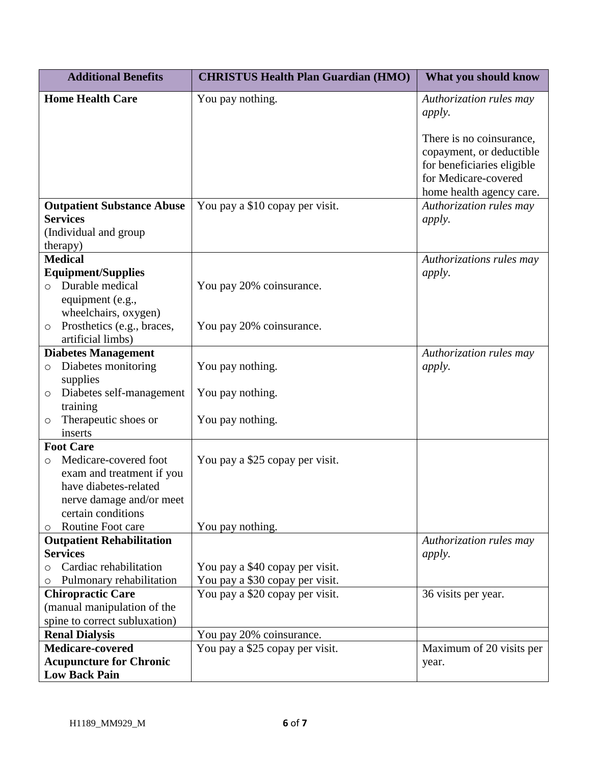| <b>Additional Benefits</b>                                    | <b>CHRISTUS Health Plan Guardian (HMO)</b> | What you should know                                |
|---------------------------------------------------------------|--------------------------------------------|-----------------------------------------------------|
| <b>Home Health Care</b>                                       | You pay nothing.                           | Authorization rules may                             |
|                                                               |                                            | <i>apply.</i>                                       |
|                                                               |                                            | There is no coinsurance,                            |
|                                                               |                                            | copayment, or deductible                            |
|                                                               |                                            | for beneficiaries eligible                          |
|                                                               |                                            | for Medicare-covered                                |
| <b>Outpatient Substance Abuse</b>                             | You pay a \$10 copay per visit.            | home health agency care.<br>Authorization rules may |
| <b>Services</b>                                               |                                            | <i>apply.</i>                                       |
| (Individual and group                                         |                                            |                                                     |
| therapy)                                                      |                                            |                                                     |
| <b>Medical</b>                                                |                                            | Authorizations rules may                            |
| <b>Equipment/Supplies</b>                                     |                                            | <i>apply.</i>                                       |
| Durable medical<br>$\bigcirc$                                 | You pay 20% coinsurance.                   |                                                     |
| equipment (e.g.,                                              |                                            |                                                     |
| wheelchairs, oxygen)<br>Prosthetics (e.g., braces,<br>$\circ$ | You pay 20% coinsurance.                   |                                                     |
| artificial limbs)                                             |                                            |                                                     |
| <b>Diabetes Management</b>                                    |                                            | Authorization rules may                             |
| Diabetes monitoring<br>$\circ$                                | You pay nothing.                           | apply.                                              |
| supplies                                                      |                                            |                                                     |
| Diabetes self-management<br>$\circ$                           | You pay nothing.                           |                                                     |
| training<br>Therapeutic shoes or                              | You pay nothing.                           |                                                     |
| $\circ$<br>inserts                                            |                                            |                                                     |
| <b>Foot Care</b>                                              |                                            |                                                     |
| Medicare-covered foot<br>$\circ$                              | You pay a \$25 copay per visit.            |                                                     |
| exam and treatment if you                                     |                                            |                                                     |
| have diabetes-related                                         |                                            |                                                     |
| nerve damage and/or meet                                      |                                            |                                                     |
| certain conditions<br>Routine Foot care                       | You pay nothing.                           |                                                     |
| $\circ$<br><b>Outpatient Rehabilitation</b>                   |                                            | Authorization rules may                             |
| <b>Services</b>                                               |                                            | <i>apply.</i>                                       |
| Cardiac rehabilitation                                        | You pay a \$40 copay per visit.            |                                                     |
| Pulmonary rehabilitation                                      | You pay a \$30 copay per visit.            |                                                     |
| <b>Chiropractic Care</b>                                      | You pay a \$20 copay per visit.            | 36 visits per year.                                 |
| (manual manipulation of the                                   |                                            |                                                     |
| spine to correct subluxation)                                 |                                            |                                                     |
| <b>Renal Dialysis</b>                                         | You pay 20% coinsurance.                   |                                                     |
| Medicare-covered<br><b>Acupuncture for Chronic</b>            | You pay a \$25 copay per visit.            | Maximum of 20 visits per                            |
| <b>Low Back Pain</b>                                          |                                            | year.                                               |